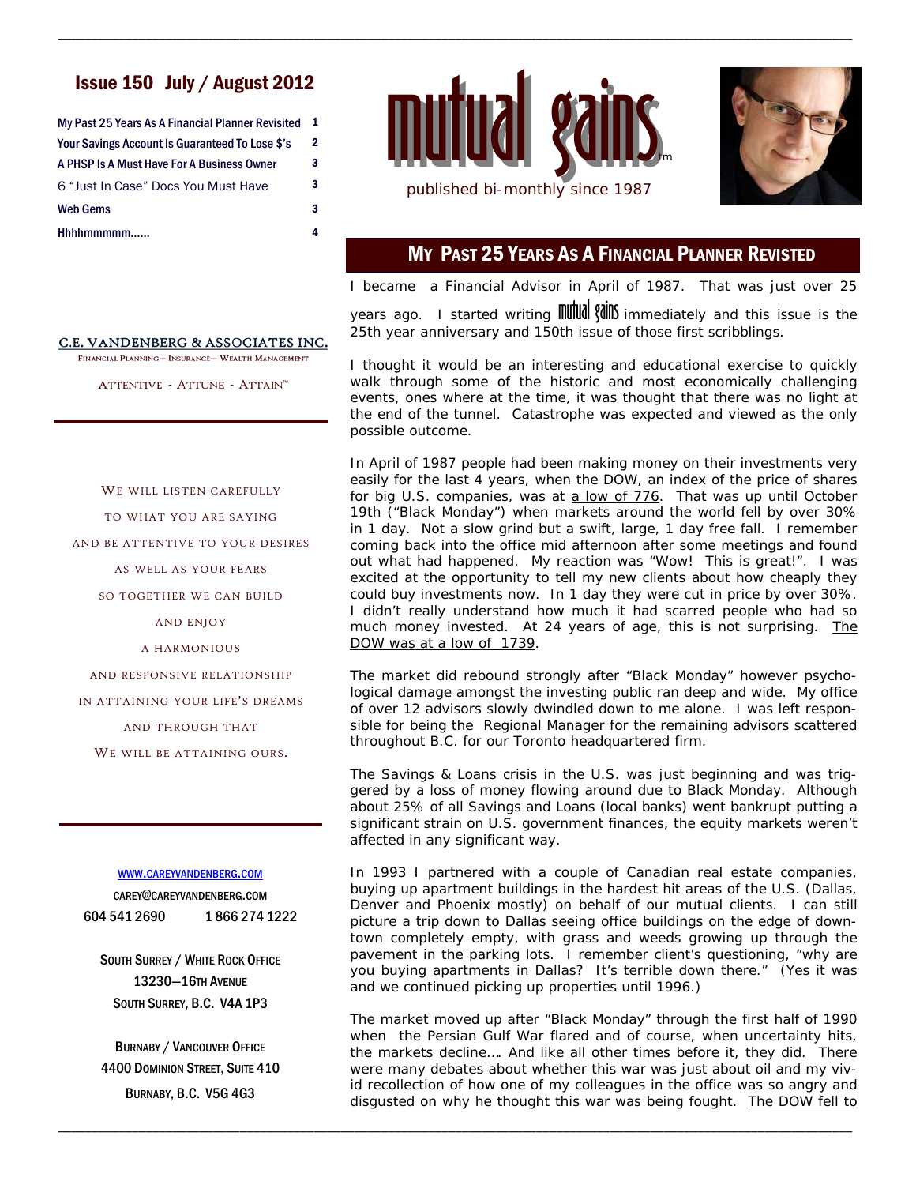# Issue 150 July / August 2012

| My Past 25 Years As A Financial Planner Revisited | 1            |
|---------------------------------------------------|--------------|
| Your Savings Account Is Guaranteed To Lose \$'s   | $\mathbf{2}$ |
| A PHSP Is A Must Have For A Business Owner        | 3            |
| 6 "Just In Case" Docs You Must Have               | 3            |
| <b>Web Gems</b>                                   | 3            |
| Hhhhmmmmm                                         | 4            |
|                                                   |              |



\_\_\_\_\_\_\_\_\_\_\_\_\_\_\_\_\_\_\_\_\_\_\_\_\_\_\_\_\_\_\_\_\_\_\_\_\_\_\_\_\_\_\_\_\_\_\_\_\_\_\_\_\_\_\_\_\_\_\_\_\_\_\_\_\_\_\_\_\_\_\_\_\_\_\_\_\_\_\_\_\_\_\_\_\_\_\_\_\_\_\_\_\_\_\_\_\_\_\_\_\_\_\_\_\_\_\_\_\_\_\_\_\_\_\_\_\_\_



# MY PAST 25 YEARS AS A FINANCIAL PLANNER REVISTED

I became a Financial Advisor in April of 1987. That was just over 25 years ago. I started writing **mutual valley** immediately and this issue is the 25th year anniversary and 150th issue of those first scribblings.

I thought it would be an interesting and educational exercise to quickly walk through some of the historic and most economically challenging events, ones where at the time, it was thought that there was no light at the end of the tunnel. Catastrophe was expected and viewed as the only possible outcome.

In April of 1987 people had been making money on their investments very easily for the last 4 years, when the DOW, an index of the price of shares for big U.S. companies, was at  $a$  low of  $776$ . That was up until October 19th ("Black Monday") when markets around the world fell by over 30% in 1 day. Not a slow grind but a swift, large, 1 day free fall. I remember coming back into the office mid afternoon after some meetings and found out what had happened. My reaction was "Wow! This is great!". I was excited at the opportunity to tell my new clients about how cheaply they could buy investments now. In 1 day they were cut in price by over 30%. I didn't really understand how much it had scarred people who had so much money invested. At 24 years of age, this is not surprising. The DOW was at a low of 1739.

The market did rebound strongly after "Black Monday" however psychological damage amongst the investing public ran deep and wide. My office of over 12 advisors slowly dwindled down to me alone. I was left responsible for being the Regional Manager for the remaining advisors scattered throughout B.C. for our Toronto headquartered firm.

The Savings & Loans crisis in the U.S. was just beginning and was triggered by a loss of money flowing around due to Black Monday. Although about 25% of all Savings and Loans (local banks) went bankrupt putting a significant strain on U.S. government finances, the equity markets weren't affected in any significant way.

In 1993 I partnered with a couple of Canadian real estate companies, buying up apartment buildings in the hardest hit areas of the U.S. (Dallas, Denver and Phoenix mostly) on behalf of our mutual clients. I can still picture a trip down to Dallas seeing office buildings on the edge of downtown completely empty, with grass and weeds growing up through the pavement in the parking lots. I remember client's questioning, "why are you buying apartments in Dallas? It's terrible down there." (Yes it was and we continued picking up properties until 1996.)

The market moved up after "Black Monday" through the first half of 1990 when the Persian Gulf War flared and of course, when uncertainty hits, the markets decline…. And like all other times before it, they did. There were many debates about whether this war was just about oil and my vivid recollection of how one of my colleagues in the office was so angry and disgusted on why he thought this war was being fought. The DOW fell to

\_\_\_\_\_\_\_\_\_\_\_\_\_\_\_\_\_\_\_\_\_\_\_\_\_\_\_\_\_\_\_\_\_\_\_\_\_\_\_\_\_\_\_\_\_\_\_\_\_\_\_\_\_\_\_\_\_\_\_\_\_\_\_\_\_\_\_\_\_\_\_\_\_\_\_\_\_\_\_\_\_\_\_\_\_\_\_\_\_\_\_\_\_\_\_\_\_\_\_\_\_\_\_\_\_\_\_\_\_\_\_\_\_\_\_\_\_\_

### C.E. VANDENBERG & ASSOCIATES INC.

FINANCIAL PLANNING- INSURANCE- WEALTH MANAGEMENT

ATTENTIVE - ATTUNE - ATTAIN<sup>™</sup>

WE WILL LISTEN CAREFULLY TO WHAT YOU ARE SAYING AND BE ATTENTIVE TO YOUR DESIRES AS WELL AS YOUR FEARS SO TOGETHER WE CAN BUILD AND ENJOY A HARMONIOUS AND RESPONSIVE RELATIONSHIP IN ATTAINING YOUR LIFE'S DREAMS AND THROUGH THAT WE WILL BE ATTAINING OURS.

### WWW.CAREYVANDENBERG.COM

CAREY@CAREYVANDENBERG.COM 604 541 2690 1 866 274 1222

SOUTH SURREY / WHITE ROCK OFFICE 13230—16TH AVENUE SOUTH SURREY, B.C. V4A 1P3

BURNABY / VANCOUVER OFFICE 4400 DOMINION STREET, SUITE 410 BURNABY, B.C. V5G 4G3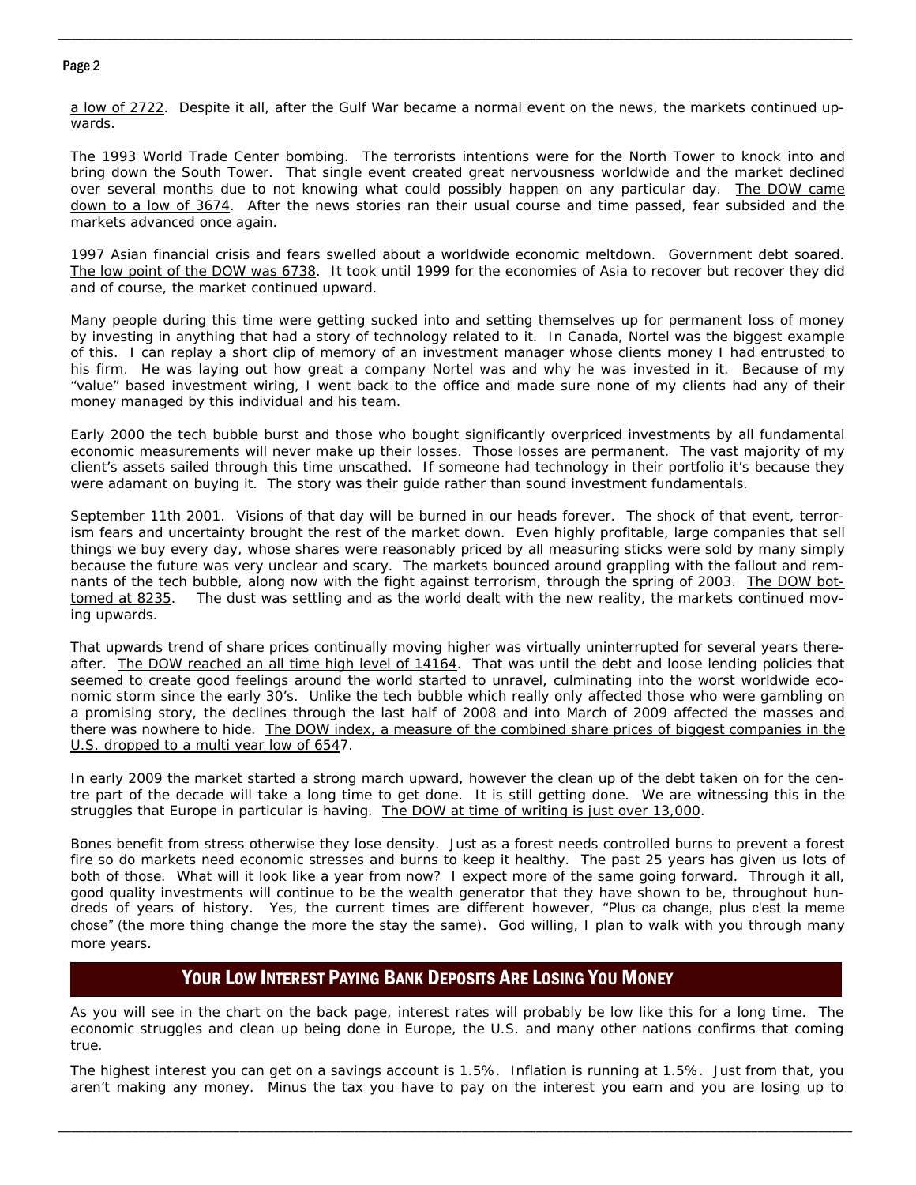## Page 2

a low of 2722. Despite it all, after the Gulf War became a normal event on the news, the markets continued upwards.

\_\_\_\_\_\_\_\_\_\_\_\_\_\_\_\_\_\_\_\_\_\_\_\_\_\_\_\_\_\_\_\_\_\_\_\_\_\_\_\_\_\_\_\_\_\_\_\_\_\_\_\_\_\_\_\_\_\_\_\_\_\_\_\_\_\_\_\_\_\_\_\_\_\_\_\_\_\_\_\_\_\_\_\_\_\_\_\_\_\_\_\_\_\_\_\_\_\_\_\_\_\_\_\_\_\_\_\_\_\_\_\_\_\_\_\_\_\_

The 1993 World Trade Center bombing. The terrorists intentions were for the North Tower to knock into and bring down the South Tower. That single event created great nervousness worldwide and the market declined over several months due to not knowing what could possibly happen on any particular day. The DOW came down to a low of 3674. After the news stories ran their usual course and time passed, fear subsided and the markets advanced once again.

1997 Asian financial crisis and fears swelled about a worldwide economic meltdown. Government debt soared. The low point of the DOW was 6738. It took until 1999 for the economies of Asia to recover but recover they did and of course, the market continued upward.

Many people during this time were getting sucked into and setting themselves up for permanent loss of money by investing in anything that had a story of technology related to it. In Canada, Nortel was the biggest example of this. I can replay a short clip of memory of an investment manager whose clients money I had entrusted to his firm. He was laying out how great a company Nortel was and why he was invested in it. Because of my "value" based investment wiring, I went back to the office and made sure none of my clients had any of their money managed by this individual and his team.

Early 2000 the tech bubble burst and those who bought significantly overpriced investments by all fundamental economic measurements will never make up their losses. Those losses are permanent. The vast majority of my client's assets sailed through this time unscathed. If someone had technology in their portfolio it's because they were adamant on buying it. The story was their guide rather than sound investment fundamentals.

September 11th 2001. Visions of that day will be burned in our heads forever. The shock of that event, terrorism fears and uncertainty brought the rest of the market down. Even highly profitable, large companies that sell things we buy every day, whose shares were reasonably priced by all measuring sticks were sold by many simply because the future was very unclear and scary. The markets bounced around grappling with the fallout and remnants of the tech bubble, along now with the fight against terrorism, through the spring of 2003. The DOW bottomed at 8235. The dust was settling and as the world dealt with the new reality, the markets continued moving upwards.

That upwards trend of share prices continually moving higher was virtually uninterrupted for several years thereafter. The DOW reached an all time high level of 14164. That was until the debt and loose lending policies that seemed to create good feelings around the world started to unravel, culminating into the worst worldwide economic storm since the early 30's. Unlike the tech bubble which really only affected those who were gambling on a promising story, the declines through the last half of 2008 and into March of 2009 affected the masses and there was nowhere to hide. The DOW index, a measure of the combined share prices of biggest companies in the U.S. dropped to a multi year low of 6547.

In early 2009 the market started a strong march upward, however the clean up of the debt taken on for the centre part of the decade will take a long time to get done. It is still getting done. We are witnessing this in the struggles that Europe in particular is having. The DOW at time of writing is just over 13,000.

Bones benefit from stress otherwise they lose density. Just as a forest needs controlled burns to prevent a forest fire so do markets need economic stresses and burns to keep it healthy. The past 25 years has given us lots of both of those. What will it look like a year from now? I expect more of the same going forward. Through it all, good quality investments will continue to be the wealth generator that they have shown to be, throughout hundreds of years of history. Yes, the current times are different however, "Plus ca change, plus c'est la meme chose" (the more thing change the more the stay the same). God willing, I plan to walk with you through many more years.

# YOUR LOW INTEREST PAYING BANK DEPOSITS ARE LOSING YOU MONEY

As you will see in the chart on the back page, interest rates will probably be low like this for a long time. The economic struggles and clean up being done in Europe, the U.S. and many other nations confirms that coming true.

The highest interest you can get on a savings account is 1.5%. Inflation is running at 1.5%. Just from that, you aren't making any money. Minus the tax you have to pay on the interest you earn and you are losing up to

\_\_\_\_\_\_\_\_\_\_\_\_\_\_\_\_\_\_\_\_\_\_\_\_\_\_\_\_\_\_\_\_\_\_\_\_\_\_\_\_\_\_\_\_\_\_\_\_\_\_\_\_\_\_\_\_\_\_\_\_\_\_\_\_\_\_\_\_\_\_\_\_\_\_\_\_\_\_\_\_\_\_\_\_\_\_\_\_\_\_\_\_\_\_\_\_\_\_\_\_\_\_\_\_\_\_\_\_\_\_\_\_\_\_\_\_\_\_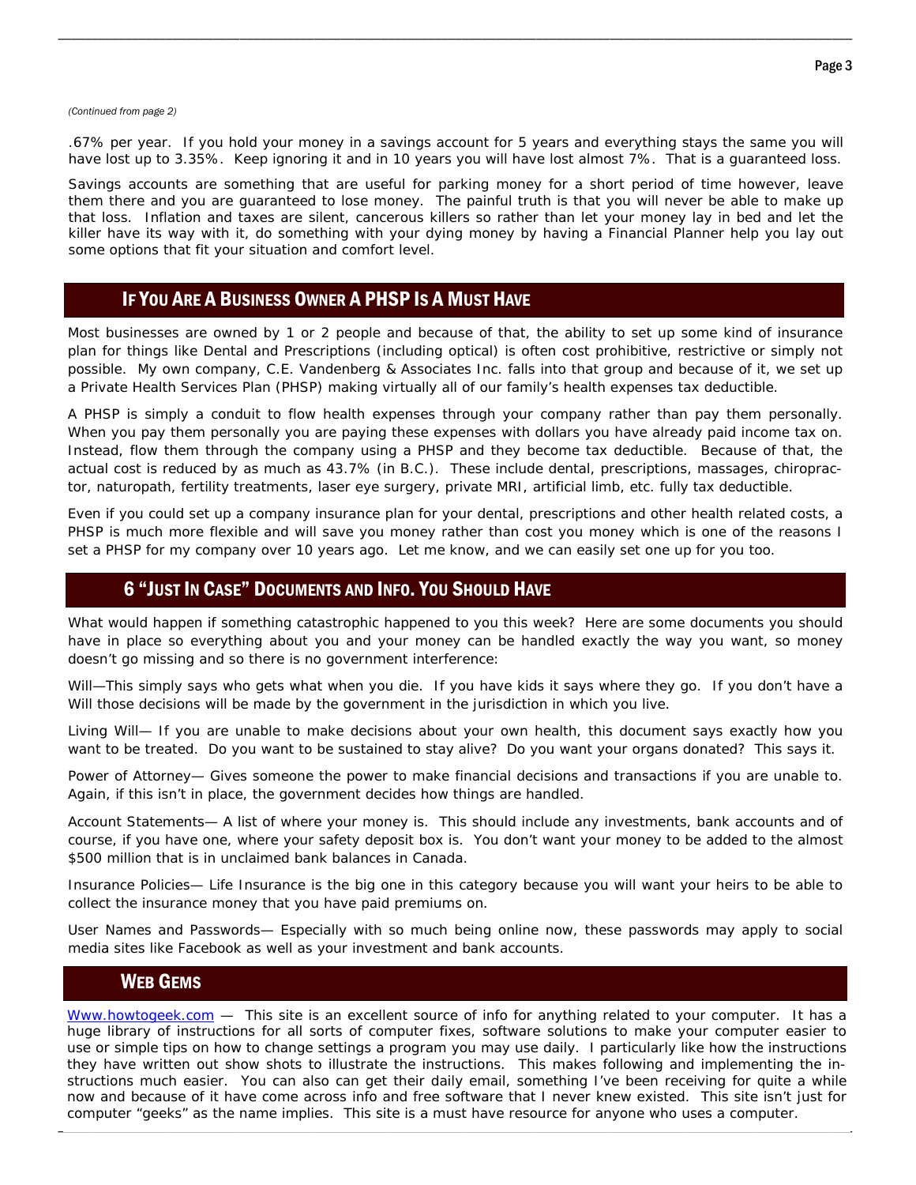#### *(Continued from page 2)*

.67% per year. If you hold your money in a savings account for 5 years and everything stays the same you will have lost up to 3.35%. Keep ignoring it and in 10 years you will have lost almost 7%. That is a guaranteed loss.

\_\_\_\_\_\_\_\_\_\_\_\_\_\_\_\_\_\_\_\_\_\_\_\_\_\_\_\_\_\_\_\_\_\_\_\_\_\_\_\_\_\_\_\_\_\_\_\_\_\_\_\_\_\_\_\_\_\_\_\_\_\_\_\_\_\_\_\_\_\_\_\_\_\_\_\_\_\_\_\_\_\_\_\_\_\_\_\_\_\_\_\_\_\_\_\_\_\_\_\_\_\_\_\_\_\_\_\_\_\_\_\_\_\_\_\_\_\_

Savings accounts are something that are useful for parking money for a short period of time however, leave them there and you are guaranteed to lose money. The painful truth is that you will never be able to make up that loss. Inflation and taxes are silent, cancerous killers so rather than let your money lay in bed and let the killer have its way with it, do something with your dying money by having a Financial Planner help you lay out some options that fit your situation and comfort level.

## IF YOU ARE A BUSINESS OWNER A PHSP IS A MUST HAVE

Most businesses are owned by 1 or 2 people and because of that, the ability to set up some kind of insurance plan for things like Dental and Prescriptions (including optical) is often cost prohibitive, restrictive or simply not possible. My own company, C.E. Vandenberg & Associates Inc. falls into that group and because of it, we set up a Private Health Services Plan (PHSP) making virtually all of our family's health expenses tax deductible.

A PHSP is simply a conduit to flow health expenses through your company rather than pay them personally. When you pay them personally you are paying these expenses with dollars you have already paid income tax on. Instead, flow them through the company using a PHSP and they become tax deductible. Because of that, the actual cost is reduced by as much as 43.7% (in B.C.). These include dental, prescriptions, massages, chiropractor, naturopath, fertility treatments, laser eye surgery, private MRI, artificial limb, etc. fully tax deductible.

Even if you could set up a company insurance plan for your dental, prescriptions and other health related costs, a PHSP is much more flexible and will save you money rather than cost you money which is one of the reasons I set a PHSP for my company over 10 years ago. Let me know, and we can easily set one up for you too.

## 6 "JUST IN CASE" DOCUMENTS AND INFO. YOU SHOULD HAVE

What would happen if something catastrophic happened to you this week? Here are some documents you should have in place so everything about you and your money can be handled exactly the way you want, so money doesn't go missing and so there is no government interference:

Will—This simply says who gets what when you die. If you have kids it says where they go. If you don't have a Will those decisions will be made by the government in the jurisdiction in which you live.

Living Will— If you are unable to make decisions about your own health, this document says exactly how you want to be treated. Do you want to be sustained to stay alive? Do you want your organs donated? This says it.

Power of Attorney— Gives someone the power to make financial decisions and transactions if you are unable to. Again, if this isn't in place, the government decides how things are handled.

Account Statements— A list of where your money is. This should include any investments, bank accounts and of course, if you have one, where your safety deposit box is. You don't want your money to be added to the almost \$500 million that is in unclaimed bank balances in Canada.

Insurance Policies— Life Insurance is the big one in this category because you will want your heirs to be able to collect the insurance money that you have paid premiums on.

User Names and Passwords— Especially with so much being online now, these passwords may apply to social media sites like Facebook as well as your investment and bank accounts.

## WEB GEMS

\_\_\_\_\_\_\_\_\_\_\_\_\_\_\_\_\_\_\_\_\_\_\_\_\_\_\_\_\_\_\_\_\_\_\_\_\_\_\_\_\_\_\_\_\_\_\_\_\_\_\_\_\_\_\_\_\_\_\_\_\_\_\_\_\_\_\_\_\_\_\_\_\_\_\_\_\_\_\_\_\_\_\_\_\_\_\_\_\_\_\_\_\_\_\_\_\_\_\_\_\_\_\_\_\_\_\_\_\_\_\_\_\_\_\_\_\_\_ Www.howtogeek.com — This site is an excellent source of info for anything related to your computer. It has a huge library of instructions for all sorts of computer fixes, software solutions to make your computer easier to use or simple tips on how to change settings a program you may use daily. I particularly like how the instructions they have written out show shots to illustrate the instructions. This makes following and implementing the instructions much easier. You can also can get their daily email, something I've been receiving for quite a while now and because of it have come across info and free software that I never knew existed. This site isn't just for computer "geeks" as the name implies. This site is a must have resource for anyone who uses a computer.